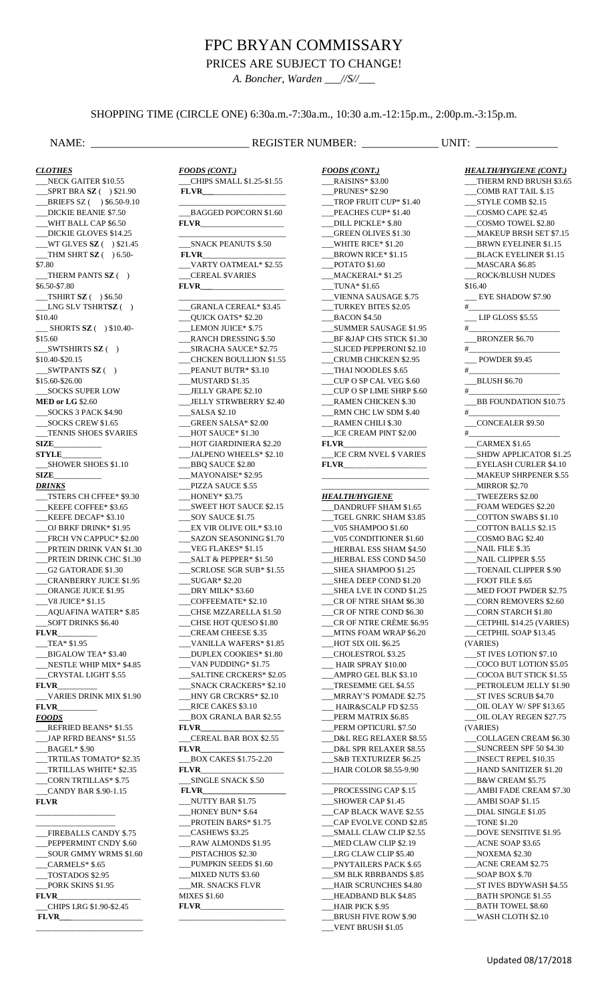# FPC BRYAN COMMISSARY

PRICES ARE SUBJECT TO CHANGE!

*A. Boncher, Warden \_\_\_//S//\_\_\_*

## SHOPPING TIME (CIRCLE ONE) 6:30a.m.-7:30a.m., 10:30 a.m.-12:15p.m., 2:00p.m.-3:15p.m.

## NAME: \_\_\_\_\_\_\_\_\_\_\_\_\_\_\_\_\_\_\_\_\_\_\_\_\_\_\_\_\_ REGISTER NUMBER: \_\_\_\_\_\_\_\_\_\_\_\_\_\_ UNIT: \_\_\_\_\_\_\_\_\_\_\_\_\_\_\_

*CLOTHES* NECK GAITER \$10.55 \_\_\_SPRT BRA **SZ** ( ) \$21.90 \_\_\_BRIEFS SZ ( ) \$6.50-9.10 \_\_\_DICKIE BEANIE \$7.50 \_\_\_WHT BALL CAP \$6.50 DICKIE GLOVES \$14.25 \_\_\_WT GLVES **SZ** ( ) \$21.45 \_\_\_THM SHRT **SZ** ( ) 6.50- \$7.80 \_\_\_THERM PANTS **SZ** ( ) \$6.50-\$7.80 \_\_\_TSHIRT **SZ** ( ) \$6.50 \_\_\_LNG SLV TSHRT**SZ** ( ) \$10.40 \_\_\_ SHORTS **SZ** ( ) \$10.40- \$15.60 \_\_\_SWTSHIRTS **SZ** ( ) \$10.40-\$20.15 \_\_\_SWTPANTS **SZ** ( ) \$15.60-\$26.00 \_\_\_SOCKS SUPER LOW **MED or LG** \$2.60 \_\_\_SOCKS 3 PACK \$4.90 \_\_\_SOCKS CREW \$1.65 \_\_\_TENNIS SHOES \$VARIES **SIZE**\_\_\_\_\_\_\_\_\_\_\_\_ **STYLE**\_\_\_\_\_\_\_\_\_\_ \_\_\_SHOWER SHOES \$1.10 **SIZE**\_\_\_\_\_\_\_\_\_\_\_\_ *DRINKS* \_\_\_TSTERS CH CFFEE\* \$9.30 \_\_\_KEEFE COFFEE\* \$3.65 \_\_\_KEEFE DECAF\* \$3.10 \_\_\_OJ BRKF DRINK\* \$1.95 FRCH VN CAPPUC\* \$2.00 PRTEIN DRINK VAN \$1.30 PRTEIN DRINK CHC \$1.30 \_\_\_G2 GATORADE \$1.30 \_\_\_CRANBERRY JUICE \$1.95 \_\_\_ORANGE JUICE \$1.95 \_\_\_V8 JUICE\* \$1.15 \_\_\_AQUAFINA WATER\* \$.85 \_\_\_SOFT DRINKS \$6.40 **FLVR**\_\_\_\_\_\_\_\_\_\_ \_\_\_TEA\* \$1.95 \_\_\_BIGALOW TEA\* \$3.40 \_\_\_NESTLE WHIP MIX\* \$4.85 \_\_\_CRYSTAL LIGHT \$.55 **FLVR**\_\_\_\_\_\_\_\_\_\_ \_\_\_VARIES DRINK MIX \$1.90 **FLVR**\_\_\_\_\_\_\_\_\_\_ *FOODS* \_\_\_REFRIED BEANS\* \$1.55 \_\_\_JAP RFRD BEANS\* \$1.55 \_\_\_BAGEL\* \$.90 \_\_\_TRTILAS TOMATO\* \$2.35 \_\_\_TRTILLAS WHITE\* \$2.35 \_\_\_CORN TRTILLAS\* \$.75 \_\_\_CANDY BAR \$.90-1.15 **FLVR** \_\_\_\_\_\_\_\_\_\_\_\_\_\_\_\_\_\_\_\_ \_\_\_\_\_\_\_\_\_\_\_\_\_\_\_\_\_\_\_\_ FIREBALLS CANDY \$.75 PEPPERMINT CNDY \$.60 \_\_\_SOUR GMMY WRMS \$1.60 \_\_\_CARMELS\* \$.65 \_\_\_TOSTADOS \$2.95

PORK SKINS \$1.95

\_\_\_CHIPS LRG \$1.90-\$2.45

**FLVR**\_\_\_\_\_\_\_\_\_\_\_\_\_\_\_\_\_\_\_\_\_

\_\_\_\_\_\_\_\_\_\_\_\_\_\_\_\_\_\_\_\_\_\_\_\_\_\_\_

 $\overline{\phantom{a}}$  , and the set of the set of the set of the set of the set of the set of the set of the set of the set of the set of the set of the set of the set of the set of the set of the set of the set of the set of the s

**FLVR**\_\_\_\_\_\_\_\_\_\_\_\_\_\_\_\_\_\_\_\_\_

**FLVR\_\_\_**\_\_\_\_\_\_\_\_\_\_\_\_\_\_\_\_\_\_

*FOODS (CONT.)* \_\_\_CHIPS SMALL \$1.25-\$1.55 **FLVR\_\_\_**\_\_\_\_\_\_\_\_\_\_\_\_\_\_\_\_\_\_ \_\_\_\_\_\_\_\_\_\_\_\_\_\_\_\_\_\_\_\_\_\_\_\_\_\_\_ \_\_\_BAGGED POPCORN \$1.60 **FLVR**\_\_\_\_\_\_\_\_\_\_\_\_\_\_\_\_\_\_\_\_\_ \_\_\_\_\_\_\_\_\_\_\_\_\_\_\_\_\_\_\_\_\_\_\_\_\_\_\_ \_\_\_SNACK PEANUTS \$.50  $FLVR$ \_\_\_VARTY OATMEAL\* \$2.55 \_\_\_CEREAL \$VARIES **FLVR\_\_\_**\_\_\_\_\_\_\_\_\_\_\_\_\_\_\_\_\_\_ \_\_\_\_\_\_\_\_\_\_\_\_\_\_\_\_\_\_\_\_\_\_\_\_\_\_\_ \_\_\_GRANLA CEREAL\* \$3.45 \_\_\_QUICK OATS\* \$2.20 LEMON JUICE\* \$.75 \_\_\_RANCH DRESSING \$.50 \_\_\_SIRACHA SAUCE\* \$2.75 \_\_\_CHCKEN BOULLION \$1.55 PEANUT BUTR\* \$3.10 \_\_\_MUSTARD \$1.35 JELLY GRAPE \$2.10 \_\_\_JELLY STRWBERRY \$2.40 \_\_\_SALSA \$2.10 \_\_\_GREEN SALSA\* \$2.00 \_\_\_HOT SAUCE\* \$1.30 \_\_\_HOT GIARDINIERA \$2.20 JALPENO WHEELS\* \$2.10 BBQ SAUCE \$2.80 \_\_\_MAYONAISE\* \$2.95 \_\_\_PIZZA SAUCE \$.55 \_\_\_HONEY\* \$3.75 \_\_\_SWEET HOT SAUCE \$2.15 SOY SAUCE \$1.75 \_\_\_EX VIR OLIVE OIL\* \$3.10 \_\_\_SAZON SEASONING \$1.70 \_\_\_VEG FLAKES\* \$1.15 SALT & PEPPER\* \$1.50 \_\_\_SCRLOSE SGR SUB\* \$1.55 \_\_\_SUGAR\* \$2.20 DRY MILK\* \$3.60 \_\_\_COFFEEMATE\* \$2.10 \_\_\_CHSE MZZARELLA \$1.50 \_\_\_CHSE HOT QUESO \$1.80 \_\_\_CREAM CHEESE \$.35 \_\_\_VANILLA WAFERS\* \$1.85 \_\_\_DUPLEX COOKIES\* \$1.80 \_\_\_VAN PUDDING\* \$1.75 \_\_\_SALTINE CRCKERS\* \$2.05 \_\_\_SNACK CRACKERS\* \$2.10 \_\_\_HNY GR CRCKRS\* \$2.10 RICE CAKES \$3.10 \_\_\_BOX GRANLA BAR \$2.55 **FLVR\_\_\_\_\_\_\_\_\_\_\_\_\_\_\_\_\_\_\_\_\_** \_\_\_CEREAL BAR BOX \$2.55 **FLVR\_\_\_\_\_\_\_\_\_\_\_\_\_\_\_\_\_\_\_\_\_** \_\_\_BOX CAKES \$1.75-2.20 **FLVR**\_\_\_\_\_\_\_\_\_\_\_\_\_\_\_\_\_\_\_\_\_ \_\_\_SINGLE SNACK \$.50 **FLVR\_\_\_\_\_\_\_\_\_\_\_\_\_\_\_\_\_\_\_\_\_** \_\_\_NUTTY BAR \$1.75 HONEY BUN\* \$.64 PROTEIN BARS\* \$1.75 \_\_\_CASHEWS \$3.25 \_\_\_RAW ALMONDS \$1.95 PISTACHIOS \$2.30 PUMPKIN SEEDS \$1.60 MIXED NUTS \$3.60 MR. SNACKS FLVR MIXES \$1.60

*FOODS (CONT.)* \_\_\_RAISINS\* \$3.00 \_<br>\_PRUNES\* \$2.90 TROP FRUIT CUP\* \$1.40 PEACHES CUP\* \$1.40 \_\_\_DILL PICKLE\* \$.80 \_\_\_GREEN OLIVES \$1.30 \_\_\_WHITE RICE\* \$1.20 BROWN RICE\* \$1.15 \_\_\_POTATO \$1.60 \_\_\_MACKERAL\* \$1.25 \_\_\_TUNA\* \$1.65 \_\_\_VIENNA SAUSAGE \$.75 \_\_\_TURKEY BITES \$2.05 \_\_\_BACON \$4.50 \_\_\_SUMMER SAUSAGE \$1.95 BF &JAP CHS STICK \$1.30 SLICED PEPPERONI \$2.10 \_\_\_CRUMB CHICKEN \$2.95 THAI NOODLES \$.65 \_\_\_CUP O SP CAL VEG \$.60 \_\_\_CUP O SP LIME SHRP \$.60 \_\_\_RAMEN CHICKEN \$.30 \_\_\_RMN CHC LW SDM \$.40 RAMEN CHILI \$.30 \_\_\_ICE CREAM PINT \$2.00 **FLVR**\_\_\_\_\_\_\_\_\_\_\_\_\_\_\_\_\_\_\_\_\_ \_\_\_ICE CRM NVEL \$ VARIES **FLVR**\_\_\_\_\_\_\_\_\_\_\_\_\_\_\_\_\_\_\_\_\_ \_\_\_\_\_\_\_\_\_\_\_\_\_\_\_\_\_\_\_\_\_\_\_\_\_\_\_ \_\_\_\_\_\_\_\_\_\_\_\_\_\_\_\_\_\_\_\_\_\_\_\_\_\_\_ *HEALTH/HYGIENE* \_\_\_DANDRUFF SHAM \$1.65 TGEL GNRIC SHAM \$3.85 \_\_\_V05 SHAMPOO \$1.60 \_\_\_V05 CONDITIONER \$1.60 \_\_\_HERBAL ESS SHAM \$4.50 \_\_\_HERBAL ESS COND \$4.50 \_\_\_SHEA SHAMPOO \$1.25 SHEA DEEP COND \$1.20 SHEA LVE IN COND \$1.25 \_\_\_CR OF NTRE SHAM \$6.30 CR OF NTRE COND \$6.30 \_\_\_CR OF NTRE CRÈME \$6.95 \_\_\_MTNS FOAM WRAP \$6.20 HOT SIX OIL \$6.25 \_\_\_CHOLESTROL \$3.25 \_\_\_ HAIR SPRAY \$10.00 AMPRO GEL BLK \$3.10 TRESEMME GEL \$4.55 \_\_\_MRRAY'S POMADE \$2.75 HAIR&SCALP FD \$2.55 PERM MATRIX \$6.85 PERM OPTICURL \$7.50 \_\_\_D&L REG RELAXER \$8.55 \_\_\_D&L SPR RELAXER \$8.55 \_\_\_S&B TEXTURIZER \$6.25 \_\_\_HAIR COLOR \$8.55-9.90 \_\_\_\_\_\_\_\_\_\_\_\_\_\_\_\_\_\_\_\_\_\_\_\_ PROCESSING CAP \$.15 SHOWER CAP \$1.45 \_\_\_CAP BLACK WAVE \$2.55 CAP EVOLVE COND \$2.85 \_\_\_SMALL CLAW CLIP \$2.55 MED CLAW CLIP \$2.19 LRG CLAW CLIP \$5.40 \_\_\_PNYTAILERS PACK \$.65 \_\_\_SM BLK RBRBANDS \$.85 \_\_\_HAIR SCRUNCHES \$4.80

> \_\_\_HEADBAND BLK \$4.85 \_\_\_HAIR PICK \$.95 \_\_\_BRUSH FIVE ROW \$.90 \_\_\_VENT BRUSH \$1.05

*HEALTH/HYGIENE (CONT.)* THERM RND BRUSH \$3.65 \_\_\_COMB RAT TAIL \$.15 \_\_\_STYLE COMB \$2.15 \_\_\_COSMO CAPE \$2.45 \_\_\_COSMO TOWEL \$2.80 \_\_\_MAKEUP BRSH SET \$7.15 \_\_\_BRWN EYELINER \$1.15 BLACK EYELINER \$1.15 \_\_\_MASCARA \$6.85 \_\_\_ROCK/BLUSH NUDES \$16.40 \_\_\_ EYE SHADOW \$7.90 #\_\_\_\_\_\_\_\_\_\_\_\_\_\_\_\_\_\_\_\_\_\_\_ LIP GLOSS \$5.55 #\_\_\_\_\_\_\_\_\_\_\_\_\_\_\_\_\_\_\_\_\_\_\_ \_\_\_BRONZER \$6.70 #\_\_\_\_\_\_\_\_\_\_\_\_\_\_\_\_\_\_\_\_\_\_\_ \_\_\_ POWDER \$9.45 #\_\_\_\_\_\_\_\_\_\_\_\_\_\_\_\_\_\_\_\_\_\_\_ \_\_\_BLUSH \$6.70 #\_\_\_\_\_\_\_\_\_\_\_\_\_\_\_\_\_\_\_\_\_\_\_ BB FOUNDATION \$10.75 #\_\_\_\_\_\_\_\_\_\_\_\_\_\_\_\_\_\_\_\_\_\_\_ \_\_\_CONCEALER \$9.50 #\_\_\_\_\_\_\_\_\_\_\_\_\_\_\_\_\_\_\_\_\_\_\_ \_\_\_CARMEX \$1.65 SHDW APPLICATOR \$1.25 \_\_\_EYELASH CURLER \$4.10 \_\_\_MAKEUP SHRPENER \$.55 \_\_\_MIRROR \$2.70 \_\_\_TWEEZERS \$2.00 \_\_\_FOAM WEDGES \$2.20 \_\_\_COTTON SWABS \$1.10 \_\_\_COTTON BALLS \$2.15 \_\_\_COSMO BAG \$2.40 NAIL FILE \$.35 NAIL CLIPPER \$55 \_\_\_TOENAIL CLIPPER \$.90 FOOT FILE \$.65 \_\_\_MED FOOT PWDER \$2.75 \_\_\_CORN REMOVERS \$2.60 \_\_\_CORN STARCH \$1.80 \_\_\_CETPHIL \$14.25 (VARIES) \_\_\_CETPHIL SOAP \$13.45 (VARIES) \_\_\_ST IVES LOTION \$7.10 \_\_\_COCO BUT LOTION \$5.05 \_\_\_COCOA BUT STICK \$1.55 PETROLEUM JELLY \$1.90 ST IVES SCRUB \$4.70 \_\_\_OIL OLAY W/ SPF \$13.65 \_\_\_OIL OLAY REGEN \$27.75 (VARIES) \_\_\_COLLAGEN CREAM \$6.30 \_\_\_SUNCREEN SPF 50 \$4.30 \_\_\_INSECT REPEL \$10.35 \_\_\_HAND SANITIZER \$1.20 \_\_\_B&W CREAM \$5.75 \_\_\_AMBI FADE CREAM \$7.30 \_\_\_AMBI SOAP \$1.15 \_\_\_DIAL SINGLE \$1.05 \_\_\_TONE \$1.20 \_\_\_DOVE SENSITIVE \$1.95 \_\_\_ACNE SOAP \$3.65 \_\_\_NOXEMA \$2.30 ACNE CREAM \$2.75 \_\_\_SOAP BOX \$.70 ST IVES BDYWASH \$4.55 BATH SPONGE \$1.55 \_\_\_BATH TOWEL \$8.60 \_\_\_WASH CLOTH \$2.10